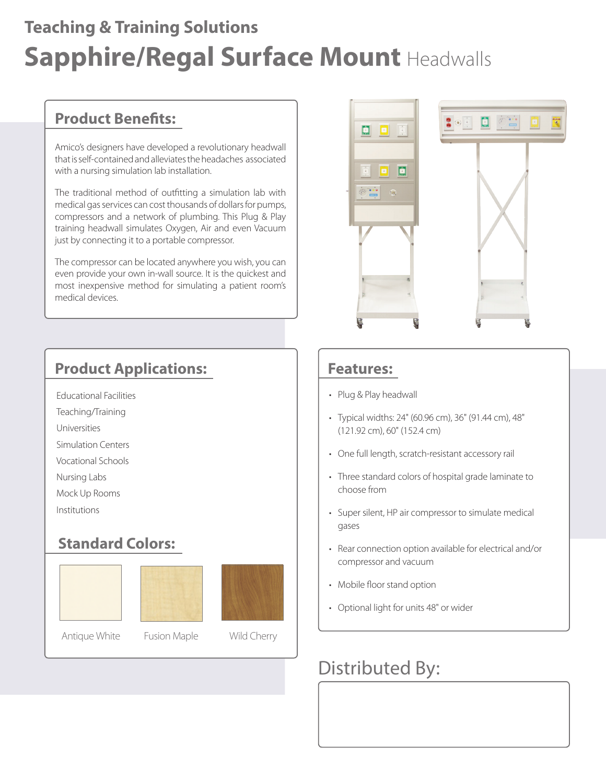## **Sapphire/Regal Surface Mount** Headwalls **Teaching & Training Solutions**

### **Product Benefits:**

Amico's designers have developed a revolutionary headwall that is self-contained and alleviates the headaches associated with a nursing simulation lab installation.

The traditional method of outfitting a simulation lab with medical gas services can cost thousands of dollars for pumps, compressors and a network of plumbing. This Plug & Play training headwall simulates Oxygen, Air and even Vacuum just by connecting it to a portable compressor.

The compressor can be located anywhere you wish, you can even provide your own in-wall source. It is the quickest and most inexpensive method for simulating a patient room's medical devices.

### **Product Applications:**

- Educational Facilities
- Teaching/Training
- Universities
- Simulation Centers
- Vocational Schools
- Nursing Labs
- Mock Up Rooms
- Institutions

#### **Standard Colors:**









#### **Features:**

- Plug & Play headwall
- Typical widths: 24" (60.96 cm), 36" (91.44 cm), 48" (121.92 cm), 60" (152.4 cm)
- One full length, scratch-resistant accessory rail
- Three standard colors of hospital grade laminate to choose from
- Super silent, HP air compressor to simulate medical gases
- Rear connection option available for electrical and/or compressor and vacuum
- Mobile floor stand option
- Optional light for units 48" or wider

### Distributed By: